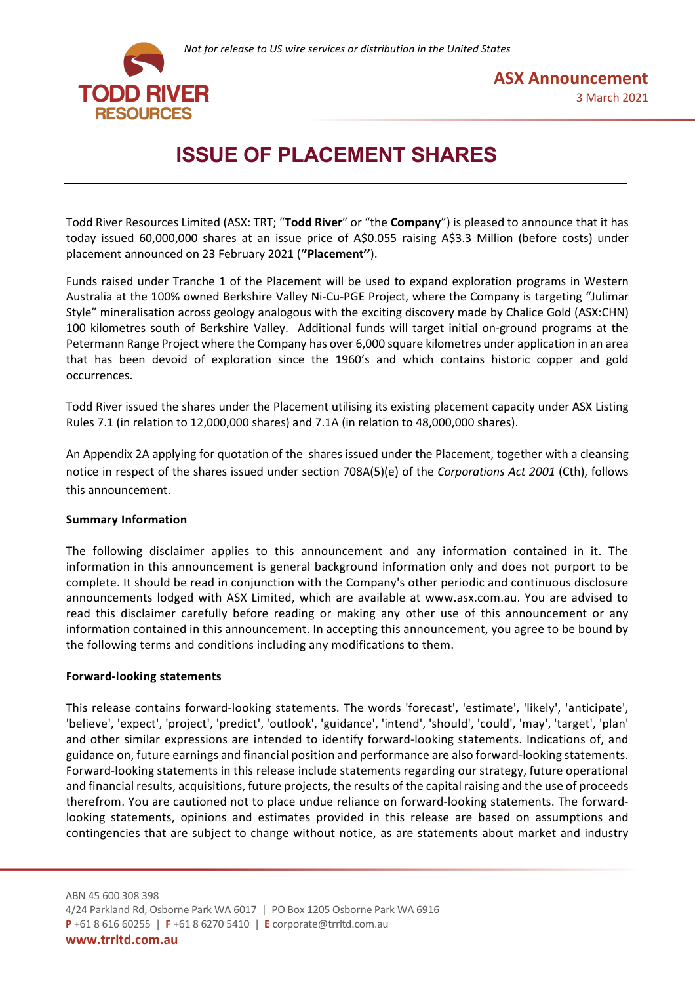

# **ISSUE OF PLACEMENT SHARES**

Todd River Resources Limited (ASX: TRT; "**Todd River**" or "the **Company**") is pleased to announce that it has today issued 60,000,000 shares at an issue price of A\$0.055 raising A\$3.3 Million (before costs) under placement announced on 23 February 2021 ('**'Placement''**).

Funds raised under Tranche 1 of the Placement will be used to expand exploration programs in Western Australia at the 100% owned Berkshire Valley Ni-Cu-PGE Project, where the Company is targeting "Julimar Style" mineralisation across geology analogous with the exciting discovery made by Chalice Gold (ASX:CHN) 100 kilometres south of Berkshire Valley. Additional funds will target initial on-ground programs at the Petermann Range Project where the Company has over 6,000 square kilometres under application in an area that has been devoid of exploration since the 1960's and which contains historic copper and gold occurrences.

Todd River issued the shares under the Placement utilising its existing placement capacity under ASX Listing Rules 7.1 (in relation to 12,000,000 shares) and 7.1A (in relation to 48,000,000 shares).

An Appendix 2A applying for quotation of the shares issued under the Placement, together with a cleansing notice in respect of the shares issued under section 708A(5)(e) of the *Corporations Act 2001* (Cth), follows this announcement.

### **Summary Information**

The following disclaimer applies to this announcement and any information contained in it. The information in this announcement is general background information only and does not purport to be complete. It should be read in conjunction with the Company's other periodic and continuous disclosure announcements lodged with ASX Limited, which are available at www.asx.com.au. You are advised to read this disclaimer carefully before reading or making any other use of this announcement or any information contained in this announcement. In accepting this announcement, you agree to be bound by the following terms and conditions including any modifications to them.

### **Forward-looking statements**

This release contains forward-looking statements. The words 'forecast', 'estimate', 'likely', 'anticipate', 'believe', 'expect', 'project', 'predict', 'outlook', 'guidance', 'intend', 'should', 'could', 'may', 'target', 'plan' and other similar expressions are intended to identify forward-looking statements. Indications of, and guidance on, future earnings and financial position and performance are also forward-looking statements. Forward-looking statements in this release include statements regarding our strategy, future operational and financial results, acquisitions, future projects, the results of the capital raising and the use of proceeds therefrom. You are cautioned not to place undue reliance on forward-looking statements. The forwardlooking statements, opinions and estimates provided in this release are based on assumptions and contingencies that are subject to change without notice, as are statements about market and industry